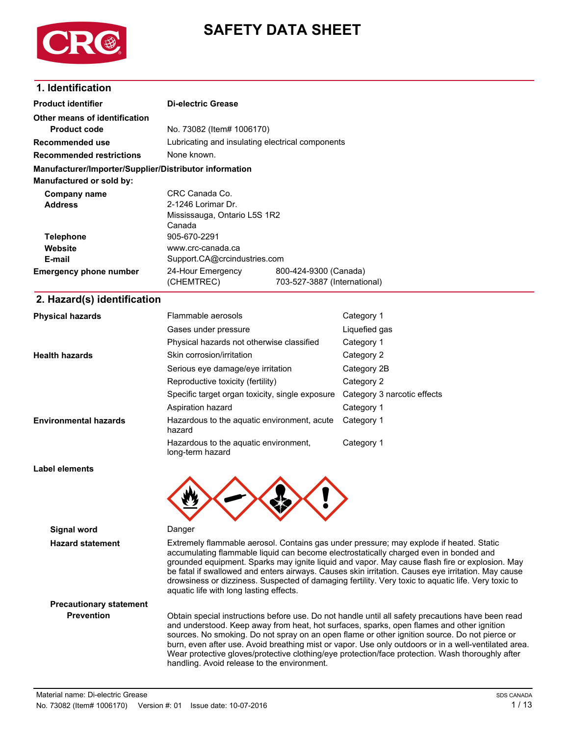

# **SAFETY DATA SHEET**

### **1. Identification**

| <b>Product identifier</b>                              | <b>Di-electric Grease</b>                        |                             |  |  |
|--------------------------------------------------------|--------------------------------------------------|-----------------------------|--|--|
| Other means of identification                          |                                                  |                             |  |  |
| <b>Product code</b>                                    | No. 73082 (Item# 1006170)                        |                             |  |  |
| <b>Recommended use</b>                                 | Lubricating and insulating electrical components |                             |  |  |
| <b>Recommended restrictions</b>                        | None known.                                      |                             |  |  |
| Manufacturer/Importer/Supplier/Distributor information |                                                  |                             |  |  |
| Manufactured or sold by:                               |                                                  |                             |  |  |
| Company name                                           | CRC Canada Co.                                   |                             |  |  |
| <b>Address</b>                                         | 2-1246 Lorimar Dr.                               |                             |  |  |
|                                                        | Mississauga, Ontario L5S 1R2                     |                             |  |  |
|                                                        | Canada                                           |                             |  |  |
| <b>Telephone</b>                                       | 905-670-2291                                     |                             |  |  |
| Website                                                | www.crc-canada.ca                                |                             |  |  |
| E-mail                                                 | Support.CA@crcindustries.com                     |                             |  |  |
| <b>Emergency phone number</b>                          | 24-Hour Emergency<br>800-424-9300 (Canada)       |                             |  |  |
|                                                        | (CHEMTREC)<br>703-527-3887 (International)       |                             |  |  |
| 2. Hazard(s) identification                            |                                                  |                             |  |  |
| <b>Physical hazards</b>                                | Flammable aerosols                               | Category 1                  |  |  |
|                                                        | Gases under pressure                             | Liquefied gas               |  |  |
|                                                        | Physical hazards not otherwise classified        | Category 1                  |  |  |
| <b>Health hazards</b>                                  | Skin corrosion/irritation                        | Category 2                  |  |  |
|                                                        | Serious eye damage/eye irritation                | Category 2B                 |  |  |
|                                                        | Reproductive toxicity (fertility)                | Category 2                  |  |  |
|                                                        | Specific target organ toxicity, single exposure  | Category 3 narcotic effects |  |  |
|                                                        | Aspiration hazard                                | Category 1                  |  |  |
|                                                        |                                                  |                             |  |  |

Hazardous to the aquatic environment, acute Category 1 hazard **Environmental hazards** Hazardous to the aquatic environment, Category 1 long-term hazard

**Label elements**



**Signal word** Danger

**Hazard statement** Extremely flammable aerosol. Contains gas under pressure; may explode if heated. Static accumulating flammable liquid can become electrostatically charged even in bonded and grounded equipment. Sparks may ignite liquid and vapor. May cause flash fire or explosion. May be fatal if swallowed and enters airways. Causes skin irritation. Causes eye irritation. May cause drowsiness or dizziness. Suspected of damaging fertility. Very toxic to aquatic life. Very toxic to aquatic life with long lasting effects.

**Precautionary statement**

**Prevention** Obtain special instructions before use. Do not handle until all safety precautions have been read and understood. Keep away from heat, hot surfaces, sparks, open flames and other ignition sources. No smoking. Do not spray on an open flame or other ignition source. Do not pierce or burn, even after use. Avoid breathing mist or vapor. Use only outdoors or in a well-ventilated area. Wear protective gloves/protective clothing/eye protection/face protection. Wash thoroughly after handling. Avoid release to the environment.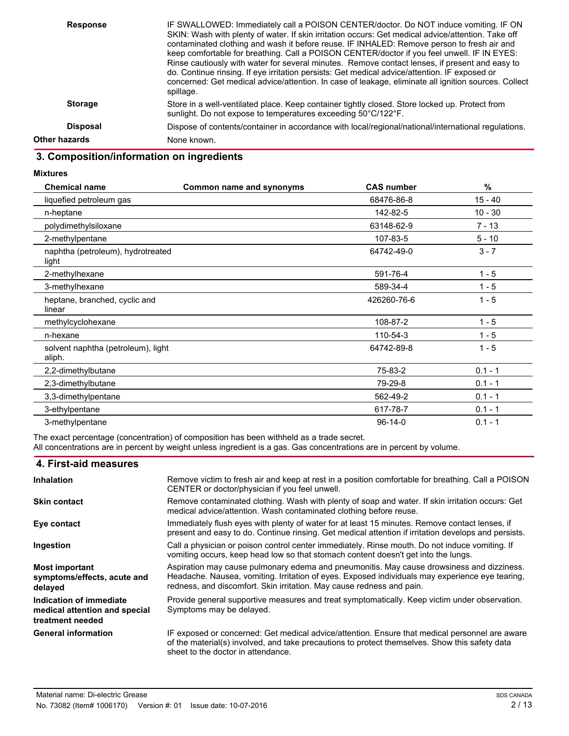| <b>Response</b> | IF SWALLOWED: Immediately call a POISON CENTER/doctor. Do NOT induce vomiting. IF ON<br>SKIN: Wash with plenty of water. If skin irritation occurs: Get medical advice/attention. Take off<br>contaminated clothing and wash it before reuse. IF INHALED: Remove person to fresh air and<br>keep comfortable for breathing. Call a POISON CENTER/doctor if you feel unwell. IF IN EYES:<br>Rinse cautiously with water for several minutes. Remove contact lenses, if present and easy to<br>do. Continue rinsing. If eye irritation persists: Get medical advice/attention. IF exposed or<br>concerned: Get medical advice/attention. In case of leakage, eliminate all ignition sources. Collect<br>spillage. |
|-----------------|-----------------------------------------------------------------------------------------------------------------------------------------------------------------------------------------------------------------------------------------------------------------------------------------------------------------------------------------------------------------------------------------------------------------------------------------------------------------------------------------------------------------------------------------------------------------------------------------------------------------------------------------------------------------------------------------------------------------|
| <b>Storage</b>  | Store in a well-ventilated place. Keep container tightly closed. Store locked up. Protect from<br>sunlight. Do not expose to temperatures exceeding 50°C/122°F.                                                                                                                                                                                                                                                                                                                                                                                                                                                                                                                                                 |
| <b>Disposal</b> | Dispose of contents/container in accordance with local/regional/national/international regulations.                                                                                                                                                                                                                                                                                                                                                                                                                                                                                                                                                                                                             |
| Other hazards   | None known.                                                                                                                                                                                                                                                                                                                                                                                                                                                                                                                                                                                                                                                                                                     |
|                 |                                                                                                                                                                                                                                                                                                                                                                                                                                                                                                                                                                                                                                                                                                                 |

# **3. Composition/information on ingredients**

#### **Mixtures**

| <b>Chemical name</b>                         | Common name and synonyms | <b>CAS number</b> | %         |
|----------------------------------------------|--------------------------|-------------------|-----------|
| liquefied petroleum gas                      |                          | 68476-86-8        | 15 - 40   |
| n-heptane                                    |                          | 142-82-5          | $10 - 30$ |
| polydimethylsiloxane                         |                          | 63148-62-9        | 7 - 13    |
| 2-methylpentane                              |                          | 107-83-5          | $5 - 10$  |
| naphtha (petroleum), hydrotreated<br>light   |                          | 64742-49-0        | $3 - 7$   |
| 2-methylhexane                               |                          | 591-76-4          | $1 - 5$   |
| 3-methylhexane                               |                          | 589-34-4          | $1 - 5$   |
| heptane, branched, cyclic and<br>linear      |                          | 426260-76-6       | $1 - 5$   |
| methylcyclohexane                            |                          | 108-87-2          | $1 - 5$   |
| n-hexane                                     |                          | 110-54-3          | $1 - 5$   |
| solvent naphtha (petroleum), light<br>aliph. |                          | 64742-89-8        | $1 - 5$   |
| 2,2-dimethylbutane                           |                          | 75-83-2           | $0.1 - 1$ |
| 2,3-dimethylbutane                           |                          | 79-29-8           | $0.1 - 1$ |
| 3,3-dimethylpentane                          |                          | 562-49-2          | $0.1 - 1$ |
| 3-ethylpentane                               |                          | 617-78-7          | $0.1 - 1$ |
| 3-methylpentane                              |                          | $96 - 14 - 0$     | $0.1 - 1$ |

The exact percentage (concentration) of composition has been withheld as a trade secret. All concentrations are in percent by weight unless ingredient is a gas. Gas concentrations are in percent by volume.

| 4. First-aid measures                                                        |                                                                                                                                                                                                                                                                       |
|------------------------------------------------------------------------------|-----------------------------------------------------------------------------------------------------------------------------------------------------------------------------------------------------------------------------------------------------------------------|
| <b>Inhalation</b>                                                            | Remove victim to fresh air and keep at rest in a position comfortable for breathing. Call a POISON<br>CENTER or doctor/physician if you feel unwell.                                                                                                                  |
| <b>Skin contact</b>                                                          | Remove contaminated clothing. Wash with plenty of soap and water. If skin irritation occurs: Get<br>medical advice/attention. Wash contaminated clothing before reuse.                                                                                                |
| Eye contact                                                                  | Immediately flush eyes with plenty of water for at least 15 minutes. Remove contact lenses, if<br>present and easy to do. Continue rinsing. Get medical attention if irritation develops and persists.                                                                |
| Ingestion                                                                    | Call a physician or poison control center immediately. Rinse mouth. Do not induce vomiting. If<br>vomiting occurs, keep head low so that stomach content doesn't get into the lungs.                                                                                  |
| <b>Most important</b><br>symptoms/effects, acute and<br>delayed              | Aspiration may cause pulmonary edema and pneumonitis. May cause drowsiness and dizziness.<br>Headache. Nausea, vomiting. Irritation of eyes. Exposed individuals may experience eye tearing,<br>redness, and discomfort. Skin irritation. May cause redness and pain. |
| Indication of immediate<br>medical attention and special<br>treatment needed | Provide general supportive measures and treat symptomatically. Keep victim under observation.<br>Symptoms may be delayed.                                                                                                                                             |
| <b>General information</b>                                                   | IF exposed or concerned: Get medical advice/attention. Ensure that medical personnel are aware<br>of the material(s) involved, and take precautions to protect themselves. Show this safety data<br>sheet to the doctor in attendance.                                |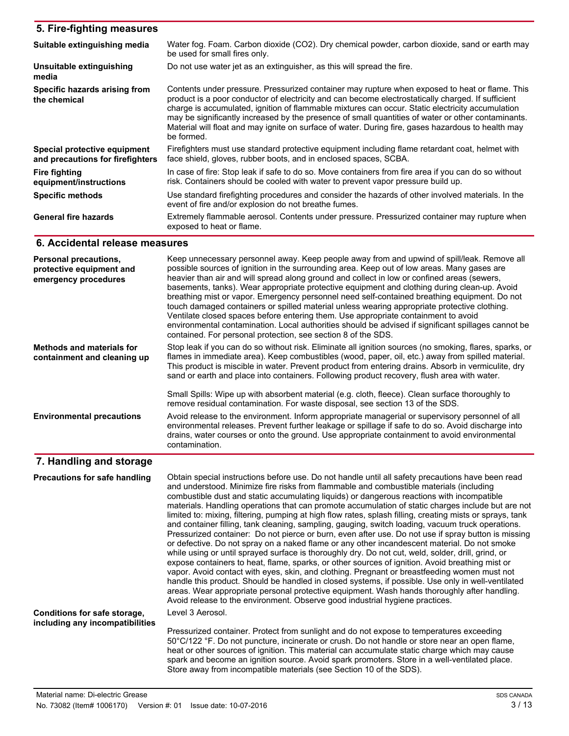| 5. Fire-fighting measures                                        |                                                                                                                                                                                                                                                                                                                                                                                                                                                                                                                                    |
|------------------------------------------------------------------|------------------------------------------------------------------------------------------------------------------------------------------------------------------------------------------------------------------------------------------------------------------------------------------------------------------------------------------------------------------------------------------------------------------------------------------------------------------------------------------------------------------------------------|
| Suitable extinguishing media                                     | Water fog. Foam. Carbon dioxide (CO2). Dry chemical powder, carbon dioxide, sand or earth may<br>be used for small fires only.                                                                                                                                                                                                                                                                                                                                                                                                     |
| <b>Unsuitable extinguishing</b><br>media                         | Do not use water jet as an extinguisher, as this will spread the fire.                                                                                                                                                                                                                                                                                                                                                                                                                                                             |
| Specific hazards arising from<br>the chemical                    | Contents under pressure. Pressurized container may rupture when exposed to heat or flame. This<br>product is a poor conductor of electricity and can become electrostatically charged. If sufficient<br>charge is accumulated, ignition of flammable mixtures can occur. Static electricity accumulation<br>may be significantly increased by the presence of small quantities of water or other contaminants.<br>Material will float and may ignite on surface of water. During fire, gases hazardous to health may<br>be formed. |
| Special protective equipment<br>and precautions for firefighters | Firefighters must use standard protective equipment including flame retardant coat, helmet with<br>face shield, gloves, rubber boots, and in enclosed spaces, SCBA.                                                                                                                                                                                                                                                                                                                                                                |
| <b>Fire fighting</b><br>equipment/instructions                   | In case of fire: Stop leak if safe to do so. Move containers from fire area if you can do so without<br>risk. Containers should be cooled with water to prevent vapor pressure build up.                                                                                                                                                                                                                                                                                                                                           |
| <b>Specific methods</b>                                          | Use standard firefighting procedures and consider the hazards of other involved materials. In the<br>event of fire and/or explosion do not breathe fumes.                                                                                                                                                                                                                                                                                                                                                                          |
| <b>General fire hazards</b>                                      | Extremely flammable aerosol. Contents under pressure. Pressurized container may rupture when<br>exposed to heat or flame.                                                                                                                                                                                                                                                                                                                                                                                                          |

### **6. Accidental release measures**

| Personal precautions,<br>protective equipment and<br>emergency procedures | Keep unnecessary personnel away. Keep people away from and upwind of spill/leak. Remove all<br>possible sources of ignition in the surrounding area. Keep out of low areas. Many gases are<br>heavier than air and will spread along ground and collect in low or confined areas (sewers,<br>basements, tanks). Wear appropriate protective equipment and clothing during clean-up. Avoid<br>breathing mist or vapor. Emergency personnel need self-contained breathing equipment. Do not<br>touch damaged containers or spilled material unless wearing appropriate protective clothing.<br>Ventilate closed spaces before entering them. Use appropriate containment to avoid<br>environmental contamination. Local authorities should be advised if significant spillages cannot be<br>contained. For personal protection, see section 8 of the SDS.                                                                                                                                                                                                                                                                                                                                                                                                                                                                                                                                                                  |
|---------------------------------------------------------------------------|--------------------------------------------------------------------------------------------------------------------------------------------------------------------------------------------------------------------------------------------------------------------------------------------------------------------------------------------------------------------------------------------------------------------------------------------------------------------------------------------------------------------------------------------------------------------------------------------------------------------------------------------------------------------------------------------------------------------------------------------------------------------------------------------------------------------------------------------------------------------------------------------------------------------------------------------------------------------------------------------------------------------------------------------------------------------------------------------------------------------------------------------------------------------------------------------------------------------------------------------------------------------------------------------------------------------------------------------------------------------------------------------------------------------------|
| <b>Methods and materials for</b><br>containment and cleaning up           | Stop leak if you can do so without risk. Eliminate all ignition sources (no smoking, flares, sparks, or<br>flames in immediate area). Keep combustibles (wood, paper, oil, etc.) away from spilled material.<br>This product is miscible in water. Prevent product from entering drains. Absorb in vermiculite, dry<br>sand or earth and place into containers. Following product recovery, flush area with water.                                                                                                                                                                                                                                                                                                                                                                                                                                                                                                                                                                                                                                                                                                                                                                                                                                                                                                                                                                                                       |
|                                                                           | Small Spills: Wipe up with absorbent material (e.g. cloth, fleece). Clean surface thoroughly to<br>remove residual contamination. For waste disposal, see section 13 of the SDS.                                                                                                                                                                                                                                                                                                                                                                                                                                                                                                                                                                                                                                                                                                                                                                                                                                                                                                                                                                                                                                                                                                                                                                                                                                         |
| <b>Environmental precautions</b>                                          | Avoid release to the environment. Inform appropriate managerial or supervisory personnel of all<br>environmental releases. Prevent further leakage or spillage if safe to do so. Avoid discharge into<br>drains, water courses or onto the ground. Use appropriate containment to avoid environmental<br>contamination.                                                                                                                                                                                                                                                                                                                                                                                                                                                                                                                                                                                                                                                                                                                                                                                                                                                                                                                                                                                                                                                                                                  |
| 7. Handling and storage                                                   |                                                                                                                                                                                                                                                                                                                                                                                                                                                                                                                                                                                                                                                                                                                                                                                                                                                                                                                                                                                                                                                                                                                                                                                                                                                                                                                                                                                                                          |
| Precautions for safe handling                                             | Obtain special instructions before use. Do not handle until all safety precautions have been read<br>and understood. Minimize fire risks from flammable and combustible materials (including<br>combustible dust and static accumulating liquids) or dangerous reactions with incompatible<br>materials. Handling operations that can promote accumulation of static charges include but are not<br>limited to: mixing, filtering, pumping at high flow rates, splash filling, creating mists or sprays, tank<br>and container filling, tank cleaning, sampling, gauging, switch loading, vacuum truck operations.<br>Pressurized container: Do not pierce or burn, even after use. Do not use if spray button is missing<br>or defective. Do not spray on a naked flame or any other incandescent material. Do not smoke<br>while using or until sprayed surface is thoroughly dry. Do not cut, weld, solder, drill, grind, or<br>expose containers to heat, flame, sparks, or other sources of ignition. Avoid breathing mist or<br>vapor. Avoid contact with eyes, skin, and clothing. Pregnant or breastfeeding women must not<br>handle this product. Should be handled in closed systems, if possible. Use only in well-ventilated<br>areas. Wear appropriate personal protective equipment. Wash hands thoroughly after handling.<br>Avoid release to the environment. Observe good industrial hygiene practices. |
| Conditions for safe storage,<br>including any incompatibilities           | Level 3 Aerosol.                                                                                                                                                                                                                                                                                                                                                                                                                                                                                                                                                                                                                                                                                                                                                                                                                                                                                                                                                                                                                                                                                                                                                                                                                                                                                                                                                                                                         |
|                                                                           | Pressurized container. Protect from sunlight and do not expose to temperatures exceeding<br>50°C/122 °F. Do not puncture, incinerate or crush. Do not handle or store near an open flame,<br>heat or other sources of ignition. This material can accumulate static charge which may cause<br>spark and become an ignition source. Avoid spark promoters. Store in a well-ventilated place.<br>Store away from incompatible materials (see Section 10 of the SDS).                                                                                                                                                                                                                                                                                                                                                                                                                                                                                                                                                                                                                                                                                                                                                                                                                                                                                                                                                       |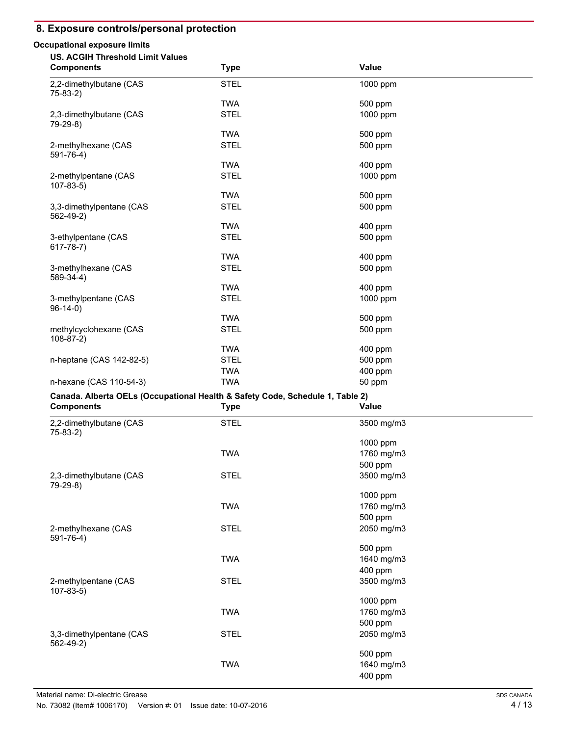### **8. Exposure controls/personal protection**

#### **Occupational exposure limits**

| <b>US. ACGIH Threshold Limit Values</b>     |             |              |  |
|---------------------------------------------|-------------|--------------|--|
| <b>Components</b>                           | <b>Type</b> | <b>Value</b> |  |
| 2,2-dimethylbutane (CAS<br>$75-83-2)$       | <b>STEL</b> | 1000 ppm     |  |
|                                             | <b>TWA</b>  | 500 ppm      |  |
| 2,3-dimethylbutane (CAS<br>79-29-8)         | <b>STEL</b> | 1000 ppm     |  |
|                                             | <b>TWA</b>  | 500 ppm      |  |
| 2-methylhexane (CAS<br>$591 - 76 - 4$       | <b>STEL</b> | 500 ppm      |  |
|                                             | <b>TWA</b>  | 400 ppm      |  |
| 2-methylpentane (CAS<br>$107-83-5$          | <b>STEL</b> | 1000 ppm     |  |
|                                             | <b>TWA</b>  | 500 ppm      |  |
| 3,3-dimethylpentane (CAS<br>$562 - 49 - 2)$ | <b>STEL</b> | 500 ppm      |  |
|                                             | <b>TWA</b>  | 400 ppm      |  |
| 3-ethylpentane (CAS<br>$617 - 78 - 7)$      | <b>STEL</b> | 500 ppm      |  |
|                                             | <b>TWA</b>  | 400 ppm      |  |
| 3-methylhexane (CAS<br>589-34-4)            | <b>STEL</b> | 500 ppm      |  |
|                                             | <b>TWA</b>  | 400 ppm      |  |
| 3-methylpentane (CAS<br>$96-14-0)$          | <b>STEL</b> | 1000 ppm     |  |
|                                             | <b>TWA</b>  | 500 ppm      |  |
| methylcyclohexane (CAS<br>$108-87-2)$       | <b>STEL</b> | 500 ppm      |  |
|                                             | <b>TWA</b>  | 400 ppm      |  |
| n-heptane (CAS 142-82-5)                    | <b>STEL</b> | 500 ppm      |  |
|                                             | <b>TWA</b>  | 400 ppm      |  |
| n-hexane (CAS 110-54-3)                     | <b>TWA</b>  | 50 ppm       |  |

### **Canada. Alberta OELs (Occupational Health & Safety Code, Schedule 1, Table 2)**

| <b>Components</b>                      | <b>Type</b> | <b>Value</b> |  |
|----------------------------------------|-------------|--------------|--|
| 2,2-dimethylbutane (CAS<br>$75-83-2)$  | <b>STEL</b> | 3500 mg/m3   |  |
|                                        |             | 1000 ppm     |  |
|                                        | <b>TWA</b>  | 1760 mg/m3   |  |
|                                        |             | 500 ppm      |  |
| 2,3-dimethylbutane (CAS<br>79-29-8)    | <b>STEL</b> | 3500 mg/m3   |  |
|                                        |             | 1000 ppm     |  |
|                                        | <b>TWA</b>  | 1760 mg/m3   |  |
|                                        |             | 500 ppm      |  |
| 2-methylhexane (CAS<br>591-76-4)       | <b>STEL</b> | 2050 mg/m3   |  |
|                                        |             | 500 ppm      |  |
|                                        | <b>TWA</b>  | 1640 mg/m3   |  |
|                                        |             | 400 ppm      |  |
| 2-methylpentane (CAS<br>$107 - 83 - 5$ | <b>STEL</b> | 3500 mg/m3   |  |
|                                        |             | 1000 ppm     |  |
|                                        | <b>TWA</b>  | 1760 mg/m3   |  |
|                                        |             | 500 ppm      |  |
| 3,3-dimethylpentane (CAS<br>562-49-2)  | <b>STEL</b> | 2050 mg/m3   |  |
|                                        |             | 500 ppm      |  |
|                                        | <b>TWA</b>  | 1640 mg/m3   |  |
|                                        |             | 400 ppm      |  |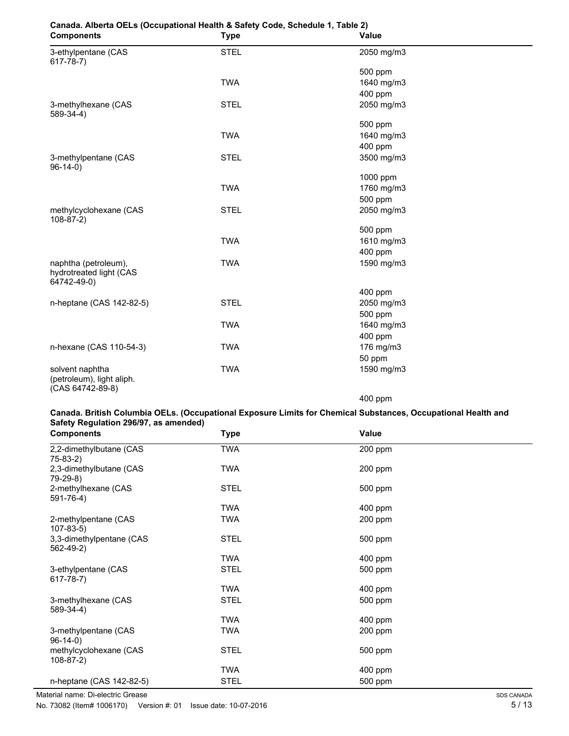| <b>Components</b>                                                | <b>Type</b> | Value      |  |
|------------------------------------------------------------------|-------------|------------|--|
| 3-ethylpentane (CAS<br>$617 - 78 - 7)$                           | <b>STEL</b> | 2050 mg/m3 |  |
|                                                                  |             | 500 ppm    |  |
|                                                                  | <b>TWA</b>  | 1640 mg/m3 |  |
|                                                                  |             | 400 ppm    |  |
| 3-methylhexane (CAS<br>589-34-4)                                 | <b>STEL</b> | 2050 mg/m3 |  |
|                                                                  |             | 500 ppm    |  |
|                                                                  | <b>TWA</b>  | 1640 mg/m3 |  |
|                                                                  |             | 400 ppm    |  |
| 3-methylpentane (CAS<br>$96-14-0)$                               | <b>STEL</b> | 3500 mg/m3 |  |
|                                                                  |             | 1000 ppm   |  |
|                                                                  | <b>TWA</b>  | 1760 mg/m3 |  |
|                                                                  |             | 500 ppm    |  |
| methylcyclohexane (CAS<br>$108-87-2)$                            | <b>STEL</b> | 2050 mg/m3 |  |
|                                                                  |             | 500 ppm    |  |
|                                                                  | <b>TWA</b>  | 1610 mg/m3 |  |
|                                                                  |             | 400 ppm    |  |
| naphtha (petroleum),<br>hydrotreated light (CAS<br>64742-49-0)   | <b>TWA</b>  | 1590 mg/m3 |  |
|                                                                  |             | 400 ppm    |  |
| n-heptane (CAS 142-82-5)                                         | <b>STEL</b> | 2050 mg/m3 |  |
|                                                                  |             | 500 ppm    |  |
|                                                                  | <b>TWA</b>  | 1640 mg/m3 |  |
|                                                                  |             | 400 ppm    |  |
| n-hexane (CAS 110-54-3)                                          | <b>TWA</b>  | 176 mg/m3  |  |
|                                                                  |             | 50 ppm     |  |
| solvent naphtha<br>(petroleum), light aliph.<br>(CAS 64742-89-8) | <b>TWA</b>  | 1590 mg/m3 |  |

# **Canada. Alberta OELs (Occupational Health & Safety Code, Schedule 1, Table 2)**

400 ppm

#### **Canada. British Columbia OELs. (Occupational Exposure Limits for Chemical Substances, Occupational Health and Safety Regulation 296/97, as amended)**

| <b>Components</b>                           | Type        | Value     |  |
|---------------------------------------------|-------------|-----------|--|
| 2,2-dimethylbutane (CAS<br>$75-83-2)$       | <b>TWA</b>  | 200 ppm   |  |
| 2,3-dimethylbutane (CAS<br>79-29-8)         | TWA         | 200 ppm   |  |
| 2-methylhexane (CAS<br>$591 - 76 - 4$ )     | <b>STEL</b> | 500 ppm   |  |
|                                             | TWA         | 400 ppm   |  |
| 2-methylpentane (CAS<br>$107 - 83 - 5$      | TWA         | 200 ppm   |  |
| 3,3-dimethylpentane (CAS<br>$562 - 49 - 2)$ | <b>STEL</b> | 500 ppm   |  |
|                                             | TWA         | 400 ppm   |  |
| 3-ethylpentane (CAS<br>$617 - 78 - 7)$      | <b>STEL</b> | 500 ppm   |  |
|                                             | <b>TWA</b>  | 400 ppm   |  |
| 3-methylhexane (CAS<br>589-34-4)            | <b>STEL</b> | 500 ppm   |  |
|                                             | TWA         | 400 ppm   |  |
| 3-methylpentane (CAS<br>$96-14-0)$          | TWA         | $200$ ppm |  |
| methylcyclohexane (CAS<br>$108 - 87 - 2$    | <b>STEL</b> | 500 ppm   |  |
|                                             | TWA         | 400 ppm   |  |
| n-heptane (CAS 142-82-5)                    | <b>STEL</b> | 500 ppm   |  |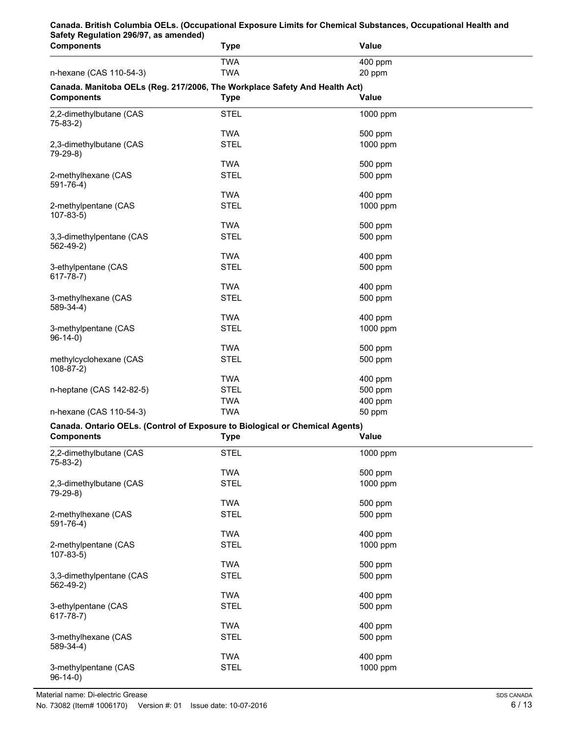| Safety Regulation 296/97, as amended)<br><b>Components</b>                   | <b>Type</b> | Value               |  |
|------------------------------------------------------------------------------|-------------|---------------------|--|
|                                                                              | <b>TWA</b>  | 400 ppm             |  |
| n-hexane (CAS 110-54-3)                                                      | <b>TWA</b>  | 20 ppm              |  |
| Canada. Manitoba OELs (Reg. 217/2006, The Workplace Safety And Health Act)   |             |                     |  |
| <b>Components</b>                                                            | <b>Type</b> | <b>Value</b>        |  |
| 2,2-dimethylbutane (CAS                                                      | <b>STEL</b> | 1000 ppm            |  |
| $75-83-2)$                                                                   |             |                     |  |
|                                                                              | <b>TWA</b>  | 500 ppm             |  |
| 2,3-dimethylbutane (CAS                                                      | <b>STEL</b> | 1000 ppm            |  |
| 79-29-8)                                                                     |             |                     |  |
|                                                                              | <b>TWA</b>  | 500 ppm             |  |
| 2-methylhexane (CAS<br>$591 - 76 - 4$ )                                      | <b>STEL</b> | 500 ppm             |  |
|                                                                              | <b>TWA</b>  | 400 ppm             |  |
| 2-methylpentane (CAS                                                         | <b>STEL</b> | 1000 ppm            |  |
| $107 - 83 - 5$                                                               |             |                     |  |
|                                                                              | <b>TWA</b>  | 500 ppm             |  |
| 3,3-dimethylpentane (CAS                                                     | <b>STEL</b> | 500 ppm             |  |
| $562 - 49 - 2)$                                                              | <b>TWA</b>  |                     |  |
| 3-ethylpentane (CAS                                                          | <b>STEL</b> | 400 ppm<br>500 ppm  |  |
| $617 - 78 - 7)$                                                              |             |                     |  |
|                                                                              | <b>TWA</b>  | 400 ppm             |  |
| 3-methylhexane (CAS                                                          | <b>STEL</b> | 500 ppm             |  |
| 589-34-4)                                                                    |             |                     |  |
|                                                                              | <b>TWA</b>  | 400 ppm             |  |
| 3-methylpentane (CAS                                                         | <b>STEL</b> | 1000 ppm            |  |
| $96-14-0)$                                                                   | <b>TWA</b>  | 500 ppm             |  |
| methylcyclohexane (CAS                                                       | <b>STEL</b> | 500 ppm             |  |
| $108-87-2)$                                                                  |             |                     |  |
|                                                                              | <b>TWA</b>  | 400 ppm             |  |
| n-heptane (CAS 142-82-5)                                                     | <b>STEL</b> | 500 ppm             |  |
|                                                                              | <b>TWA</b>  | 400 ppm             |  |
| n-hexane (CAS 110-54-3)                                                      | <b>TWA</b>  | 50 ppm              |  |
| Canada. Ontario OELs. (Control of Exposure to Biological or Chemical Agents) |             |                     |  |
| <b>Components</b>                                                            | <b>Type</b> | Value               |  |
| 2,2-dimethylbutane (CAS                                                      | <b>STEL</b> | 1000 ppm            |  |
| $75-83-2)$                                                                   |             |                     |  |
|                                                                              | <b>TWA</b>  | 500 ppm             |  |
| 2,3-dimethylbutane (CAS                                                      | <b>STEL</b> | 1000 ppm            |  |
| 79-29-8)                                                                     | <b>TWA</b>  | 500 ppm             |  |
| 2-methylhexane (CAS                                                          | <b>STEL</b> | 500 ppm             |  |
| $591 - 76 - 4$                                                               |             |                     |  |
|                                                                              | <b>TWA</b>  | 400 ppm             |  |
| 2-methylpentane (CAS                                                         | <b>STEL</b> | 1000 ppm            |  |
| $107 - 83 - 5$                                                               |             |                     |  |
|                                                                              | <b>TWA</b>  | 500 ppm             |  |
| 3,3-dimethylpentane (CAS<br>$562 - 49 - 2)$                                  | <b>STEL</b> | 500 ppm             |  |
|                                                                              | <b>TWA</b>  | 400 ppm             |  |
| 3-ethylpentane (CAS                                                          | <b>STEL</b> | 500 ppm             |  |
| $617 - 78 - 7)$                                                              |             |                     |  |
|                                                                              | <b>TWA</b>  | 400 ppm             |  |
| 3-methylhexane (CAS                                                          | <b>STEL</b> | 500 ppm             |  |
| 589-34-4)                                                                    | <b>TWA</b>  |                     |  |
| 3-methylpentane (CAS                                                         | <b>STEL</b> | 400 ppm<br>1000 ppm |  |
| $96-14-0)$                                                                   |             |                     |  |

**Canada. British Columbia OELs. (Occupational Exposure Limits for Chemical Substances, Occupational Health and**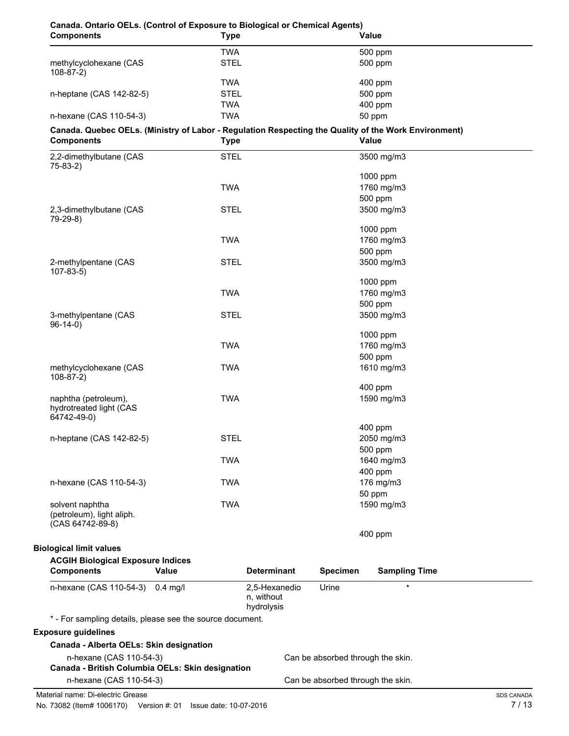| Canada. Ontario OELs. (Control of Exposure to Biological or Chemical Agents)<br><b>Components</b>    | <b>Type</b> |                                           |                                   | Value                |                   |
|------------------------------------------------------------------------------------------------------|-------------|-------------------------------------------|-----------------------------------|----------------------|-------------------|
|                                                                                                      | <b>TWA</b>  |                                           |                                   | 500 ppm              |                   |
| methylcyclohexane (CAS<br>$108-87-2)$                                                                | <b>STEL</b> |                                           |                                   | 500 ppm              |                   |
|                                                                                                      | <b>TWA</b>  |                                           |                                   | 400 ppm              |                   |
| n-heptane (CAS 142-82-5)                                                                             | <b>STEL</b> |                                           |                                   | 500 ppm              |                   |
|                                                                                                      | <b>TWA</b>  |                                           |                                   | 400 ppm              |                   |
| n-hexane (CAS 110-54-3)                                                                              | <b>TWA</b>  |                                           |                                   | 50 ppm               |                   |
| Canada. Quebec OELs. (Ministry of Labor - Regulation Respecting the Quality of the Work Environment) |             |                                           |                                   |                      |                   |
| <b>Components</b>                                                                                    | <b>Type</b> |                                           |                                   | Value                |                   |
| 2,2-dimethylbutane (CAS<br>$75-83-2)$                                                                | <b>STEL</b> |                                           |                                   | 3500 mg/m3           |                   |
|                                                                                                      |             |                                           |                                   | 1000 ppm             |                   |
|                                                                                                      | <b>TWA</b>  |                                           |                                   | 1760 mg/m3           |                   |
|                                                                                                      |             |                                           |                                   | 500 ppm              |                   |
| 2,3-dimethylbutane (CAS                                                                              | <b>STEL</b> |                                           |                                   | 3500 mg/m3           |                   |
| 79-29-8)                                                                                             |             |                                           |                                   |                      |                   |
|                                                                                                      |             |                                           |                                   | 1000 ppm             |                   |
|                                                                                                      | <b>TWA</b>  |                                           |                                   | 1760 mg/m3           |                   |
|                                                                                                      |             |                                           |                                   | 500 ppm              |                   |
| 2-methylpentane (CAS                                                                                 | <b>STEL</b> |                                           |                                   | 3500 mg/m3           |                   |
| $107-83-5$                                                                                           |             |                                           |                                   |                      |                   |
|                                                                                                      |             |                                           |                                   | 1000 ppm             |                   |
|                                                                                                      | <b>TWA</b>  |                                           |                                   | 1760 mg/m3           |                   |
|                                                                                                      |             |                                           |                                   | 500 ppm              |                   |
| 3-methylpentane (CAS<br>$96-14-0$                                                                    | <b>STEL</b> |                                           |                                   | 3500 mg/m3           |                   |
|                                                                                                      |             |                                           |                                   | 1000 ppm             |                   |
|                                                                                                      | <b>TWA</b>  |                                           |                                   | 1760 mg/m3           |                   |
|                                                                                                      |             |                                           |                                   | 500 ppm              |                   |
| methylcyclohexane (CAS<br>$108-87-2)$                                                                | <b>TWA</b>  |                                           |                                   | 1610 mg/m3           |                   |
|                                                                                                      |             |                                           |                                   | 400 ppm              |                   |
| naphtha (petroleum),<br>hydrotreated light (CAS                                                      | <b>TWA</b>  |                                           |                                   | 1590 mg/m3           |                   |
| 64742-49-0)                                                                                          |             |                                           |                                   |                      |                   |
|                                                                                                      |             |                                           |                                   | 400 ppm              |                   |
| n-heptane (CAS 142-82-5)                                                                             | <b>STEL</b> |                                           |                                   | 2050 mg/m3           |                   |
|                                                                                                      |             |                                           |                                   | 500 ppm              |                   |
|                                                                                                      | <b>TWA</b>  |                                           |                                   | 1640 mg/m3           |                   |
|                                                                                                      |             |                                           |                                   | 400 ppm              |                   |
| n-hexane (CAS 110-54-3)                                                                              | <b>TWA</b>  |                                           |                                   | 176 mg/m3            |                   |
|                                                                                                      |             |                                           |                                   | 50 ppm               |                   |
| solvent naphtha<br>(petroleum), light aliph.<br>(CAS 64742-89-8)                                     | <b>TWA</b>  |                                           |                                   | 1590 mg/m3           |                   |
|                                                                                                      |             |                                           |                                   | 400 ppm              |                   |
| <b>Biological limit values</b>                                                                       |             |                                           |                                   |                      |                   |
| <b>ACGIH Biological Exposure Indices</b>                                                             |             |                                           |                                   |                      |                   |
| <b>Components</b><br>Value                                                                           |             | <b>Determinant</b>                        | <b>Specimen</b>                   | <b>Sampling Time</b> |                   |
| n-hexane (CAS 110-54-3)<br>$0.4$ mg/l                                                                |             | 2,5-Hexanedio<br>n, without<br>hydrolysis | Urine                             | $\star$              |                   |
| * - For sampling details, please see the source document.                                            |             |                                           |                                   |                      |                   |
| <b>Exposure guidelines</b>                                                                           |             |                                           |                                   |                      |                   |
| Canada - Alberta OELs: Skin designation                                                              |             |                                           |                                   |                      |                   |
| n-hexane (CAS 110-54-3)<br>Canada - British Columbia OELs: Skin designation                          |             |                                           | Can be absorbed through the skin. |                      |                   |
| n-hexane (CAS 110-54-3)                                                                              |             |                                           | Can be absorbed through the skin. |                      |                   |
|                                                                                                      |             |                                           |                                   |                      |                   |
| Material name: Di-electric Grease                                                                    |             |                                           |                                   |                      | <b>SDS CANADA</b> |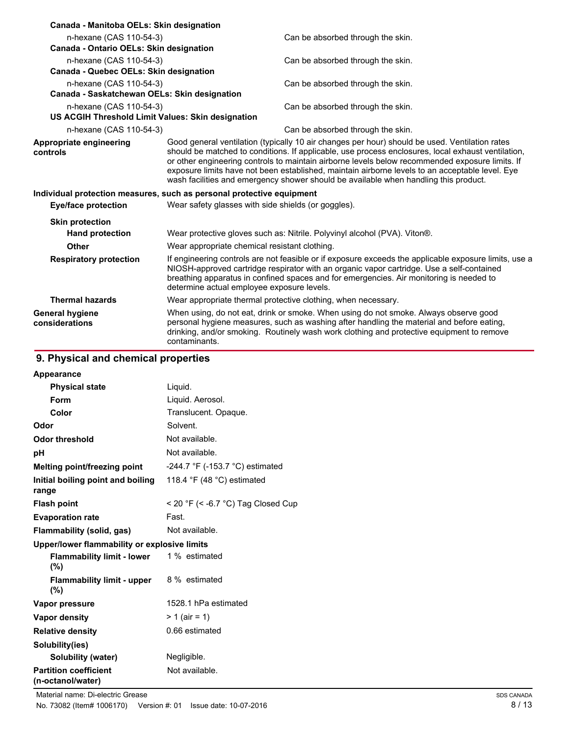| Canada - Manitoba OELs: Skin designation                                                                                                                                                                                                                                                                                                    |                                                                                                                                                                                                                                                                                                                                                                                                                                                                                                    |  |
|---------------------------------------------------------------------------------------------------------------------------------------------------------------------------------------------------------------------------------------------------------------------------------------------------------------------------------------------|----------------------------------------------------------------------------------------------------------------------------------------------------------------------------------------------------------------------------------------------------------------------------------------------------------------------------------------------------------------------------------------------------------------------------------------------------------------------------------------------------|--|
| n-hexane (CAS 110-54-3)<br>Canada - Ontario OELs: Skin designation                                                                                                                                                                                                                                                                          | Can be absorbed through the skin.                                                                                                                                                                                                                                                                                                                                                                                                                                                                  |  |
| n-hexane (CAS 110-54-3)                                                                                                                                                                                                                                                                                                                     | Can be absorbed through the skin.                                                                                                                                                                                                                                                                                                                                                                                                                                                                  |  |
| Canada - Quebec OELs: Skin designation                                                                                                                                                                                                                                                                                                      |                                                                                                                                                                                                                                                                                                                                                                                                                                                                                                    |  |
| n-hexane (CAS 110-54-3)<br>Canada - Saskatchewan OELs: Skin designation                                                                                                                                                                                                                                                                     | Can be absorbed through the skin.                                                                                                                                                                                                                                                                                                                                                                                                                                                                  |  |
| n-hexane (CAS 110-54-3)<br>US ACGIH Threshold Limit Values: Skin designation                                                                                                                                                                                                                                                                | Can be absorbed through the skin.                                                                                                                                                                                                                                                                                                                                                                                                                                                                  |  |
| n-hexane (CAS 110-54-3)                                                                                                                                                                                                                                                                                                                     | Can be absorbed through the skin.                                                                                                                                                                                                                                                                                                                                                                                                                                                                  |  |
| Appropriate engineering<br>controls                                                                                                                                                                                                                                                                                                         | Good general ventilation (typically 10 air changes per hour) should be used. Ventilation rates<br>should be matched to conditions. If applicable, use process enclosures, local exhaust ventilation,<br>or other engineering controls to maintain airborne levels below recommended exposure limits. If<br>exposure limits have not been established, maintain airborne levels to an acceptable level. Eye<br>wash facilities and emergency shower should be available when handling this product. |  |
|                                                                                                                                                                                                                                                                                                                                             | Individual protection measures, such as personal protective equipment                                                                                                                                                                                                                                                                                                                                                                                                                              |  |
| <b>Eye/face protection</b>                                                                                                                                                                                                                                                                                                                  | Wear safety glasses with side shields (or goggles).                                                                                                                                                                                                                                                                                                                                                                                                                                                |  |
| <b>Skin protection</b>                                                                                                                                                                                                                                                                                                                      |                                                                                                                                                                                                                                                                                                                                                                                                                                                                                                    |  |
| <b>Hand protection</b>                                                                                                                                                                                                                                                                                                                      | Wear protective gloves such as: Nitrile. Polyvinyl alcohol (PVA). Viton®.                                                                                                                                                                                                                                                                                                                                                                                                                          |  |
| Other                                                                                                                                                                                                                                                                                                                                       | Wear appropriate chemical resistant clothing.                                                                                                                                                                                                                                                                                                                                                                                                                                                      |  |
| <b>Respiratory protection</b>                                                                                                                                                                                                                                                                                                               | If engineering controls are not feasible or if exposure exceeds the applicable exposure limits, use a<br>NIOSH-approved cartridge respirator with an organic vapor cartridge. Use a self-contained<br>breathing apparatus in confined spaces and for emergencies. Air monitoring is needed to<br>determine actual employee exposure levels.                                                                                                                                                        |  |
| <b>Thermal hazards</b>                                                                                                                                                                                                                                                                                                                      | Wear appropriate thermal protective clothing, when necessary.                                                                                                                                                                                                                                                                                                                                                                                                                                      |  |
| When using, do not eat, drink or smoke. When using do not smoke. Always observe good<br><b>General hygiene</b><br>personal hygiene measures, such as washing after handling the material and before eating,<br>considerations<br>drinking, and/or smoking. Routinely wash work clothing and protective equipment to remove<br>contaminants. |                                                                                                                                                                                                                                                                                                                                                                                                                                                                                                    |  |

# **9. Physical and chemical properties**

| Appearance                                        |                                                   |
|---------------------------------------------------|---------------------------------------------------|
| <b>Physical state</b>                             | Liquid.                                           |
| Form                                              | Liquid. Aerosol.                                  |
| Color                                             | Translucent. Opaque.                              |
| Odor                                              | Solvent.                                          |
| Odor threshold                                    | Not available.                                    |
| рH                                                | Not available.                                    |
| Melting point/freezing point                      | -244.7 $\degree$ F (-153.7 $\degree$ C) estimated |
| Initial boiling point and boiling<br>range        | 118.4 $\degree$ F (48 $\degree$ C) estimated      |
| <b>Flash point</b>                                | < 20 °F (< -6.7 °C) Tag Closed Cup                |
| <b>Evaporation rate</b>                           | Fast.                                             |
| Flammability (solid, gas)                         | Not available.                                    |
| Upper/lower flammability or explosive limits      |                                                   |
| <b>Flammability limit - lower</b><br>(%)          | 1 % estimated                                     |
| <b>Flammability limit - upper</b><br>$(\%)$       | 8 % estimated                                     |
| Vapor pressure                                    | 1528.1 hPa estimated                              |
| <b>Vapor density</b>                              | $> 1$ (air = 1)                                   |
| <b>Relative density</b>                           | 0.66 estimated                                    |
| Solubility(ies)                                   |                                                   |
| Solubility (water)                                | Negligible.                                       |
| <b>Partition coefficient</b><br>(n-octanol/water) | Not available.                                    |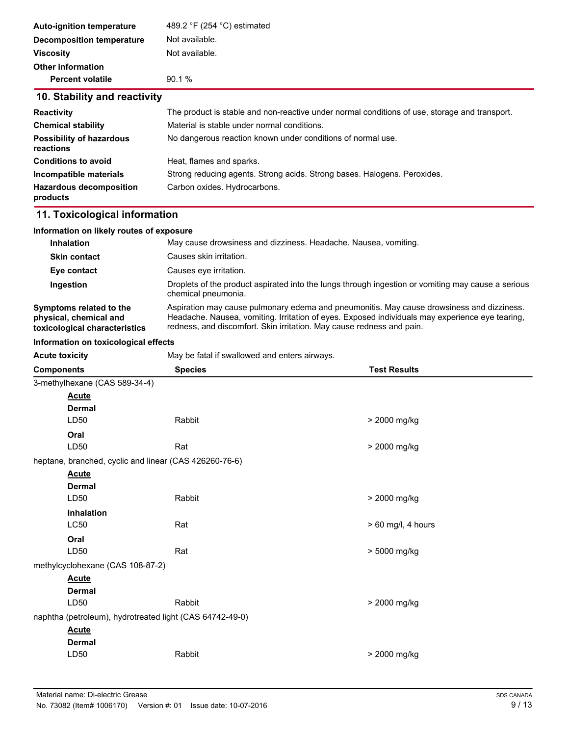| <b>Auto-ignition temperature</b> | 489.2 °F (254 °C) estimated                                                                   |  |  |
|----------------------------------|-----------------------------------------------------------------------------------------------|--|--|
| Decomposition temperature        | Not available.                                                                                |  |  |
| <b>Viscosity</b>                 | Not available.                                                                                |  |  |
| <b>Other information</b>         |                                                                                               |  |  |
| <b>Percent volatile</b>          | 90.1%                                                                                         |  |  |
| 10. Stability and reactivity     |                                                                                               |  |  |
| <b>Reactivity</b>                | The product is stable and non-reactive under normal conditions of use, storage and transport. |  |  |
| <b>Chemical stability</b>        | Material is stable under normal conditions.                                                   |  |  |
| <b>Possibility of hazardous</b>  | No dangerous reaction known under conditions of normal use.                                   |  |  |

| reactions                                  |                                                                          |
|--------------------------------------------|--------------------------------------------------------------------------|
| <b>Conditions to avoid</b>                 | Heat, flames and sparks.                                                 |
| Incompatible materials                     | Strong reducing agents. Strong acids. Strong bases. Halogens. Peroxides. |
| <b>Hazardous decomposition</b><br>products | Carbon oxides. Hydrocarbons.                                             |

# **11. Toxicological information**

| Information on likely routes of exposure                                           |                                                                                                                                                                                                                                                                       |  |  |
|------------------------------------------------------------------------------------|-----------------------------------------------------------------------------------------------------------------------------------------------------------------------------------------------------------------------------------------------------------------------|--|--|
| <b>Inhalation</b>                                                                  | May cause drowsiness and dizziness. Headache. Nausea, vomiting.                                                                                                                                                                                                       |  |  |
| <b>Skin contact</b>                                                                | Causes skin irritation.                                                                                                                                                                                                                                               |  |  |
| Eye contact                                                                        | Causes eye irritation.                                                                                                                                                                                                                                                |  |  |
| Ingestion                                                                          | Droplets of the product aspirated into the lungs through ingestion or vomiting may cause a serious<br>chemical pneumonia.                                                                                                                                             |  |  |
| Symptoms related to the<br>physical, chemical and<br>toxicological characteristics | Aspiration may cause pulmonary edema and pneumonitis. May cause drowsiness and dizziness.<br>Headache. Nausea, vomiting. Irritation of eyes. Exposed individuals may experience eye tearing,<br>redness, and discomfort. Skin irritation. May cause redness and pain. |  |  |

#### **Information on toxicological effects**

| <b>Acute toxicity</b>                                    | May be fatal if swallowed and enters airways.          |                      |  |  |  |
|----------------------------------------------------------|--------------------------------------------------------|----------------------|--|--|--|
| <b>Components</b>                                        | <b>Species</b>                                         | <b>Test Results</b>  |  |  |  |
|                                                          | 3-methylhexane (CAS 589-34-4)                          |                      |  |  |  |
| <b>Acute</b>                                             |                                                        |                      |  |  |  |
| <b>Dermal</b>                                            |                                                        |                      |  |  |  |
| LD50                                                     | Rabbit                                                 | > 2000 mg/kg         |  |  |  |
| Oral                                                     |                                                        |                      |  |  |  |
| LD50                                                     | Rat                                                    | > 2000 mg/kg         |  |  |  |
|                                                          | heptane, branched, cyclic and linear (CAS 426260-76-6) |                      |  |  |  |
| <b>Acute</b>                                             |                                                        |                      |  |  |  |
| <b>Dermal</b>                                            |                                                        |                      |  |  |  |
| LD50                                                     | Rabbit                                                 | > 2000 mg/kg         |  |  |  |
| Inhalation                                               |                                                        |                      |  |  |  |
| LC50                                                     | Rat                                                    | $> 60$ mg/l, 4 hours |  |  |  |
| Oral                                                     |                                                        |                      |  |  |  |
| LD50                                                     | Rat                                                    | > 5000 mg/kg         |  |  |  |
| methylcyclohexane (CAS 108-87-2)                         |                                                        |                      |  |  |  |
| <b>Acute</b>                                             |                                                        |                      |  |  |  |
| <b>Dermal</b>                                            |                                                        |                      |  |  |  |
| LD50                                                     | Rabbit                                                 | > 2000 mg/kg         |  |  |  |
| naphtha (petroleum), hydrotreated light (CAS 64742-49-0) |                                                        |                      |  |  |  |
| <b>Acute</b>                                             |                                                        |                      |  |  |  |
| <b>Dermal</b>                                            |                                                        |                      |  |  |  |
| LD50                                                     | Rabbit                                                 | > 2000 mg/kg         |  |  |  |
|                                                          |                                                        |                      |  |  |  |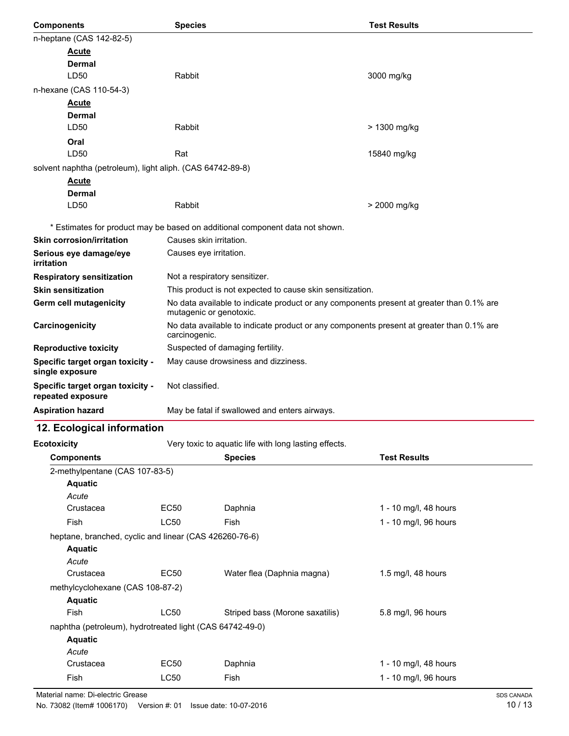| <b>Components</b>                                          | <b>Species</b>                                                                                                      | <b>Test Results</b> |
|------------------------------------------------------------|---------------------------------------------------------------------------------------------------------------------|---------------------|
| n-heptane (CAS 142-82-5)                                   |                                                                                                                     |                     |
| <b>Acute</b>                                               |                                                                                                                     |                     |
| <b>Dermal</b>                                              |                                                                                                                     |                     |
| LD50                                                       | Rabbit                                                                                                              | 3000 mg/kg          |
| n-hexane (CAS 110-54-3)                                    |                                                                                                                     |                     |
| <u>Acute</u>                                               |                                                                                                                     |                     |
| <b>Dermal</b>                                              |                                                                                                                     |                     |
| LD50                                                       | Rabbit                                                                                                              | > 1300 mg/kg        |
| Oral                                                       |                                                                                                                     |                     |
| LD50                                                       | Rat                                                                                                                 | 15840 mg/kg         |
| solvent naphtha (petroleum), light aliph. (CAS 64742-89-8) |                                                                                                                     |                     |
| <b>Acute</b>                                               |                                                                                                                     |                     |
| <b>Dermal</b>                                              |                                                                                                                     |                     |
| LD50                                                       | Rabbit                                                                                                              | > 2000 mg/kg        |
|                                                            | * Estimates for product may be based on additional component data not shown.                                        |                     |
| <b>Skin corrosion/irritation</b>                           | Causes skin irritation.                                                                                             |                     |
| Serious eye damage/eye<br>irritation                       | Causes eye irritation.                                                                                              |                     |
| <b>Respiratory sensitization</b>                           | Not a respiratory sensitizer.                                                                                       |                     |
| <b>Skin sensitization</b>                                  | This product is not expected to cause skin sensitization.                                                           |                     |
| <b>Germ cell mutagenicity</b>                              | No data available to indicate product or any components present at greater than 0.1% are<br>mutagenic or genotoxic. |                     |
| Carcinogenicity                                            | No data available to indicate product or any components present at greater than 0.1% are<br>carcinogenic.           |                     |
| <b>Reproductive toxicity</b>                               | Suspected of damaging fertility.                                                                                    |                     |
| Specific target organ toxicity -<br>single exposure        | May cause drowsiness and dizziness.                                                                                 |                     |
| Specific target organ toxicity -<br>repeated exposure      | Not classified.                                                                                                     |                     |
| <b>Aspiration hazard</b>                                   | May be fatal if swallowed and enters airways.                                                                       |                     |
| 12. Ecological information                                 |                                                                                                                     |                     |
| <b>Ecotoxicity</b>                                         | Very toxic to aquatic life with long lasting effects.                                                               |                     |
| Components                                                 | <b>Species</b>                                                                                                      | <b>Test Results</b> |
| 2-methvlpentane (CAS 107-83-5)                             |                                                                                                                     |                     |

| ominininin                                               |             | ONGCIGS                         | 1691 INGSUILS         |  |
|----------------------------------------------------------|-------------|---------------------------------|-----------------------|--|
| 2-methylpentane (CAS 107-83-5)                           |             |                                 |                       |  |
| <b>Aquatic</b>                                           |             |                                 |                       |  |
| Acute                                                    |             |                                 |                       |  |
| Crustacea                                                | EC50        | Daphnia                         | 1 - 10 mg/l, 48 hours |  |
| Fish                                                     | <b>LC50</b> | Fish                            | 1 - 10 mg/l, 96 hours |  |
| heptane, branched, cyclic and linear (CAS 426260-76-6)   |             |                                 |                       |  |
| <b>Aquatic</b>                                           |             |                                 |                       |  |
| Acute                                                    |             |                                 |                       |  |
| Crustacea                                                | EC50        | Water flea (Daphnia magna)      | 1.5 mg/l, 48 hours    |  |
| methylcyclohexane (CAS 108-87-2)                         |             |                                 |                       |  |
| <b>Aquatic</b>                                           |             |                                 |                       |  |
| Fish                                                     | <b>LC50</b> | Striped bass (Morone saxatilis) | 5.8 mg/l, 96 hours    |  |
| naphtha (petroleum), hydrotreated light (CAS 64742-49-0) |             |                                 |                       |  |
| <b>Aquatic</b>                                           |             |                                 |                       |  |
| Acute                                                    |             |                                 |                       |  |
| Crustacea                                                | EC50        | Daphnia                         | 1 - 10 mg/l, 48 hours |  |
| Fish                                                     | <b>LC50</b> | Fish                            | 1 - 10 mg/l, 96 hours |  |
|                                                          |             |                                 |                       |  |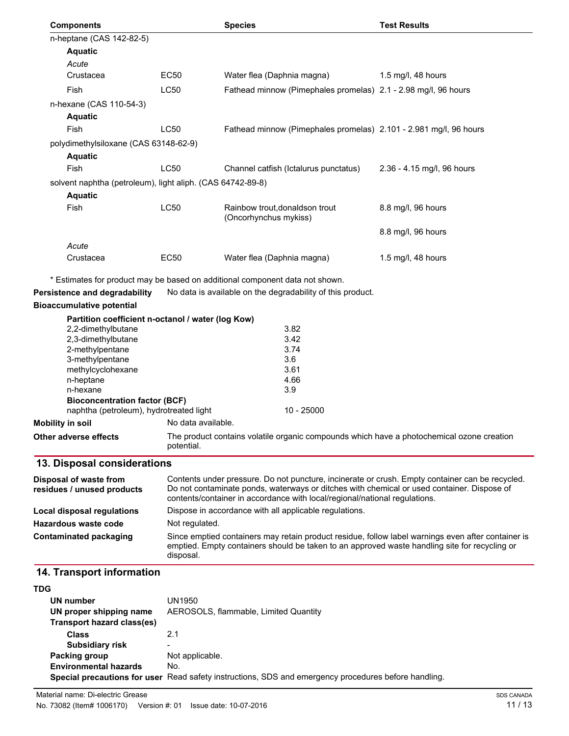| <b>Components</b>                                          |                    | <b>Species</b>                                                                                                                                                                                      | <b>Test Results</b>        |
|------------------------------------------------------------|--------------------|-----------------------------------------------------------------------------------------------------------------------------------------------------------------------------------------------------|----------------------------|
| n-heptane (CAS 142-82-5)                                   |                    |                                                                                                                                                                                                     |                            |
| <b>Aquatic</b>                                             |                    |                                                                                                                                                                                                     |                            |
| Acute                                                      |                    |                                                                                                                                                                                                     |                            |
| Crustacea                                                  | <b>EC50</b>        | Water flea (Daphnia magna)                                                                                                                                                                          | 1.5 mg/l, 48 hours         |
| Fish                                                       | LC50               | Fathead minnow (Pimephales promelas) 2.1 - 2.98 mg/l, 96 hours                                                                                                                                      |                            |
| n-hexane (CAS 110-54-3)                                    |                    |                                                                                                                                                                                                     |                            |
| <b>Aquatic</b>                                             |                    |                                                                                                                                                                                                     |                            |
| Fish                                                       | LC50               | Fathead minnow (Pimephales promelas) 2.101 - 2.981 mg/l, 96 hours                                                                                                                                   |                            |
| polydimethylsiloxane (CAS 63148-62-9)                      |                    |                                                                                                                                                                                                     |                            |
| <b>Aquatic</b>                                             |                    |                                                                                                                                                                                                     |                            |
| Fish                                                       | LC50               | Channel catfish (Ictalurus punctatus)                                                                                                                                                               | 2.36 - 4.15 mg/l, 96 hours |
| solvent naphtha (petroleum), light aliph. (CAS 64742-89-8) |                    |                                                                                                                                                                                                     |                            |
| <b>Aquatic</b>                                             |                    |                                                                                                                                                                                                     |                            |
| Fish                                                       | LC50               | Rainbow trout, donaldson trout<br>(Oncorhynchus mykiss)                                                                                                                                             | 8.8 mg/l, 96 hours         |
|                                                            |                    |                                                                                                                                                                                                     | 8.8 mg/l, 96 hours         |
| Acute                                                      |                    |                                                                                                                                                                                                     |                            |
| Crustacea                                                  | EC50               | Water flea (Daphnia magna)                                                                                                                                                                          | 1.5 mg/l, 48 hours         |
|                                                            |                    | * Estimates for product may be based on additional component data not shown.                                                                                                                        |                            |
| <b>Persistence and degradability</b>                       |                    | No data is available on the degradability of this product.                                                                                                                                          |                            |
| <b>Bioaccumulative potential</b>                           |                    |                                                                                                                                                                                                     |                            |
| Partition coefficient n-octanol / water (log Kow)          |                    |                                                                                                                                                                                                     |                            |
| 2,2-dimethylbutane                                         |                    | 3.82                                                                                                                                                                                                |                            |
| 2,3-dimethylbutane                                         |                    | 3.42                                                                                                                                                                                                |                            |
| 2-methylpentane                                            |                    | 3.74                                                                                                                                                                                                |                            |
| 3-methylpentane<br>methylcyclohexane                       |                    | 3.6<br>3.61                                                                                                                                                                                         |                            |
| n-heptane                                                  |                    | 4.66                                                                                                                                                                                                |                            |
| n-hexane                                                   |                    | 3.9                                                                                                                                                                                                 |                            |
| <b>Bioconcentration factor (BCF)</b>                       |                    |                                                                                                                                                                                                     |                            |
| naphtha (petroleum), hydrotreated light                    |                    | $10 - 25000$                                                                                                                                                                                        |                            |
| Mobility in soil                                           | No data available. |                                                                                                                                                                                                     |                            |
| Other adverse effects                                      | potential.         | The product contains volatile organic compounds which have a photochemical ozone creation                                                                                                           |                            |
| 13. Disposal considerations                                |                    |                                                                                                                                                                                                     |                            |
| Disposal of waste from<br>residues / unused products       |                    | Contents under pressure. Do not puncture, incinerate or crush. Empty container can be recycled.<br>Do not contaminate ponds, waterways or ditches with chemical or used container. Dispose of       |                            |
|                                                            |                    | contents/container in accordance with local/regional/national regulations.<br>Dispose in accordance with all applicable regulations.                                                                |                            |
| <b>Local disposal regulations</b>                          |                    |                                                                                                                                                                                                     |                            |
| Hazardous waste code                                       | Not regulated.     |                                                                                                                                                                                                     |                            |
| Contaminated packaging                                     | disposal.          | Since emptied containers may retain product residue, follow label warnings even after container is<br>emptied. Empty containers should be taken to an approved waste handling site for recycling or |                            |
| 14. Transport information                                  |                    |                                                                                                                                                                                                     |                            |
| TDG                                                        |                    |                                                                                                                                                                                                     |                            |
| UN number                                                  | UN1950             |                                                                                                                                                                                                     |                            |
|                                                            |                    |                                                                                                                                                                                                     |                            |

| UN number                    | UN 1950                                                                                              |
|------------------------------|------------------------------------------------------------------------------------------------------|
| UN proper shipping name      | AEROSOLS, flammable, Limited Quantity                                                                |
| Transport hazard class(es)   |                                                                                                      |
| <b>Class</b>                 | 2.1                                                                                                  |
| <b>Subsidiary risk</b>       | $\overline{\phantom{0}}$                                                                             |
| Packing group                | Not applicable.                                                                                      |
| <b>Environmental hazards</b> | No.                                                                                                  |
|                              | Special precautions for user Read safety instructions, SDS and emergency procedures before handling. |
|                              |                                                                                                      |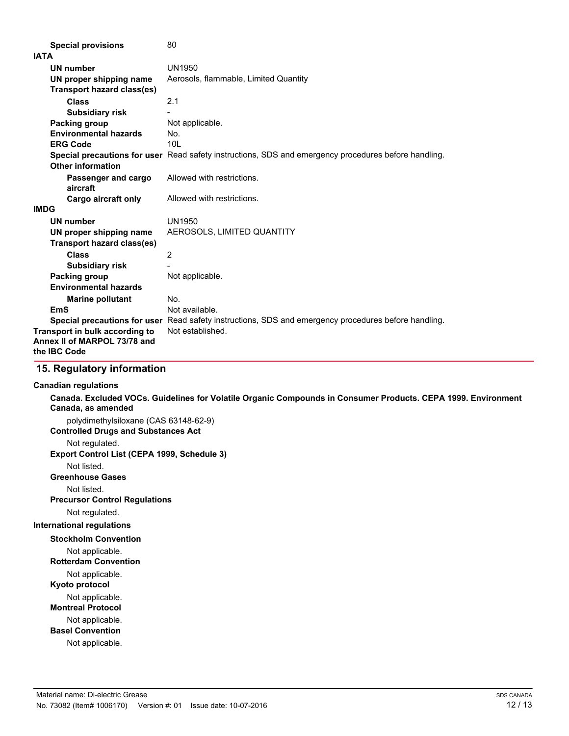|             | <b>Special provisions</b>                                                      | 80                                                                                                          |
|-------------|--------------------------------------------------------------------------------|-------------------------------------------------------------------------------------------------------------|
| <b>IATA</b> |                                                                                |                                                                                                             |
|             | <b>UN number</b>                                                               | <b>UN1950</b>                                                                                               |
|             | UN proper shipping name                                                        | Aerosols, flammable, Limited Quantity                                                                       |
|             | <b>Transport hazard class(es)</b>                                              |                                                                                                             |
|             | Class                                                                          | 2.1                                                                                                         |
|             | <b>Subsidiary risk</b>                                                         |                                                                                                             |
|             | <b>Packing group</b>                                                           | Not applicable.                                                                                             |
|             | <b>Environmental hazards</b>                                                   | No.                                                                                                         |
|             | <b>ERG Code</b>                                                                | 101                                                                                                         |
|             |                                                                                | <b>Special precautions for user</b> Read safety instructions, SDS and emergency procedures before handling. |
|             | <b>Other information</b>                                                       |                                                                                                             |
|             | Passenger and cargo<br>aircraft                                                | Allowed with restrictions.                                                                                  |
|             | Cargo aircraft only                                                            | Allowed with restrictions.                                                                                  |
| <b>IMDG</b> |                                                                                |                                                                                                             |
|             | <b>UN number</b>                                                               | UN1950                                                                                                      |
|             | UN proper shipping name                                                        | AEROSOLS, LIMITED QUANTITY                                                                                  |
|             | <b>Transport hazard class(es)</b>                                              |                                                                                                             |
|             | <b>Class</b>                                                                   | $\overline{2}$                                                                                              |
|             | <b>Subsidiary risk</b>                                                         |                                                                                                             |
|             | <b>Packing group</b>                                                           | Not applicable.                                                                                             |
|             | <b>Environmental hazards</b>                                                   |                                                                                                             |
|             | <b>Marine pollutant</b>                                                        | No.                                                                                                         |
|             | EmS                                                                            | Not available.                                                                                              |
|             |                                                                                | Special precautions for user Read safety instructions, SDS and emergency procedures before handling.        |
|             | Transport in bulk according to<br>Annex II of MARPOL 73/78 and<br>the IBC Code | Not established.                                                                                            |

### **15. Regulatory information**

#### **Canadian regulations**

**Canada. Excluded VOCs. Guidelines for Volatile Organic Compounds in Consumer Products. CEPA 1999. Environment Canada, as amended** polydimethylsiloxane (CAS 63148-62-9)

**Controlled Drugs and Substances Act**

Not regulated.

**Export Control List (CEPA 1999, Schedule 3)**

Not listed.

**Greenhouse Gases**

Not listed.

**Precursor Control Regulations**

Not regulated.

**International regulations**

**Stockholm Convention**

Not applicable.

**Rotterdam Convention**

Not applicable.

**Kyoto protocol**

Not applicable.

**Montreal Protocol**

Not applicable.

**Basel Convention**

Not applicable.